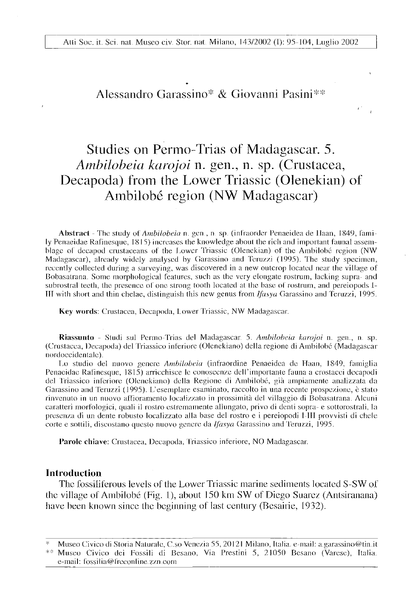## Alessandro Garassino\* & Giovanni Pasini\*

# Studies on Permo-Trias of Madagascar. 5. *Ambilobeia karojoi* n. gen., n. sp. (Crustacea, Decapoda) from the Lower Triassic (Olenekian) of Ambilobe region (NW Madagascar)

**Abstract** - The study *of Ambilobeia* n. gen , n sp. (inlraorder Penaeidea de llaan, 1849, family Penaeidae Rafinesque, 1815) increases the knowledge about the rich and important faunal assemblage of decapod crustaceans of the Lower Triassic (Olenekian) of the Ambilobé region (NW Madagascar), already widely analysed by Garassino and Teruzzi (1995). The study specimen, recently collected during a surveying, was discovered in a new outcrop located near the village of Bobasatrana. Some morphological features, such as the very elongate rostrum, lacking supra- and subrostral teeth, the presence of one strong tooth located at the base of rostrum, and pereiopods I-**III** with short and thin chelae, distinguish this new genus from *lfasya* Garassino and Teruzzi, 1995.

**Key words:** Crustacea, Decapoda, Lower Triassic, NW Madagascar.

**Riassunto** - Studi sul Pernio Trias del Madagascar 5. *Ambilobeia karojoi* n. gen.., n sp. (Crustacea, Decapoda) del Triassico inferiore (Olenekiano) della regione di Ambilobe (Madagascar nordoccidentale).

Lo studio del nuovo genere *Ambilobeia* (infraordine Penaeidea de Haan, 1849, famiglia Penaeidae Rafinesque, 1815) arricchisce le conoscenze dell'importante fauna a crostacei decapodi del Triassico inferiore (Olenekiano) della Regione di Anibilobe, gia ampiamente analizzata da Garassino and Teruzzi (1995). L'esemplare esaminato, raccolto in una recente prospezione, è stato rinvenuto in un nuovo affioramento localizzato in prossimità del villaggio di Bobasatrana. Alcuni caratteri morlologici, quali il rostro estremamente allungato, privo di denti sopra- e sottorostrali, la presen/.a di un dente robusto localizzato alia base del rostro e i pereiopodi I III provvisti di chele eorte e sottili, discostano queslo nuovo genere da *lfasya* Garassino and Teruzzi, 1995.

**Parole chiave:** Crustacea, Decapoda, Triassico inferiore, NO Madagascar.

#### **Introduction**

The fossiliferous levels of the Lower Triassic marine sediments located S-SW of the village of Ambilobé (Fig. 1), about  $150 \text{ km}$  SW of Diego Suarez (Antsiranana) have been known since the beginning of last century (Besairie, 1932).

<sup>\*</sup> Museo Civico di Storia Naturale, C.so Venezia 55, 20121 Milano, Italia, e-mail: [a.garassino@tin.it](mailto:a.garassino@tin.it)

<sup>\*\*</sup> Museo Civico dei Fossili di Besano, Via Prestini 5, 21050 Bcsano (Varese), Italia, e-mail: fossilia@freconline.zzn.com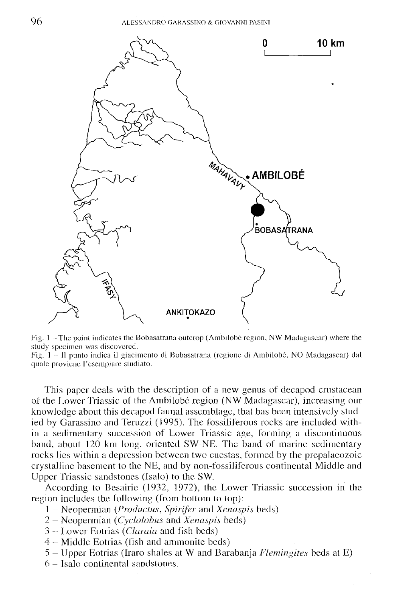

Fig. 1 - The point indicates the Bobasatrana outcrop (Ambilobe region, NW Madagascar) where the study specimen was discovered.

Fig. 1 – Il punto indica il giacimento di Bobasatrana (regione di Ambilobé, NO Madagascar) dal quale provienc l'esemplare sludiato.

This paper deals with the description of a new genus of decapod crustacean of the Lower Triassic of the Ambilobe region (NW Madagascar), increasing our knowledge about this decapod faunal assemblage, that has been intensively studied by Garassino and Teruzzi (1995). The fossiliferous rocks are included within a sedimentary succession of Lower Triassic age, forming a discontinuous band, about 120 km long, oriented SW-NE. The band of marine sedimentary rocks lies within a depression between two cuestas, formed by the prepalaeozoic crystalline basement to the NE, and by non-fossilifcrous continental Middle and Upper Triassic sandstones (Isalo) to the SW.

According to Besairie (1932, 1972), (he Lower Triassic succession in the region includes the following (from bottom to top):

- 1 Neopermian *{Productus, Spirifer* and *Xenaspis* beds)
- 2 Neopermian *{Cyclolobus* and *Xenaspis* beds)
- 3 Lower Eotrias *(Claraia* and fish beds)
- 4 Middle Eotrias (fish and ammonite beds)
- 5 Upper Eotrias (Iraro shales at W and Barabanja *Flemingites* beds at E)
- 6 Isalo continental sandstones.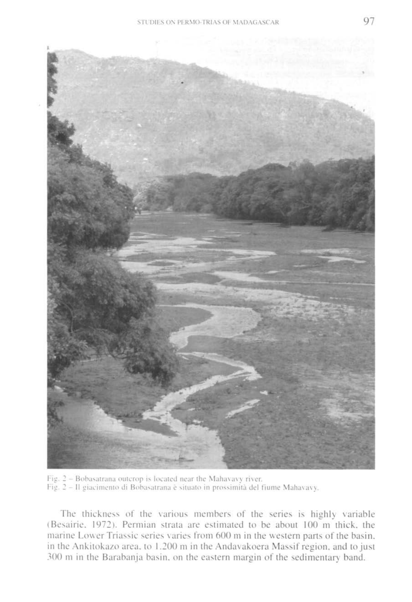

Fig. 2 - Bobasatrana outcrop is located near the Mahavavy river. Fig. 2 - Il giacimento di Bobasatrana è situato in prossimità del fiume Mahavavy.

The thickness of the various members of the series is highly variable (Besairie. 1972). Permian strata are estimated to be about 100 m thick, the marine Lower Triassic series varies from 600 m in the western parts of the basin, in the Ankitokazo area, to 1.200 m in the Andavakoera Massif region, and to just 300 m in the Barabanja basin, on the eastern margin of the sedimentary band.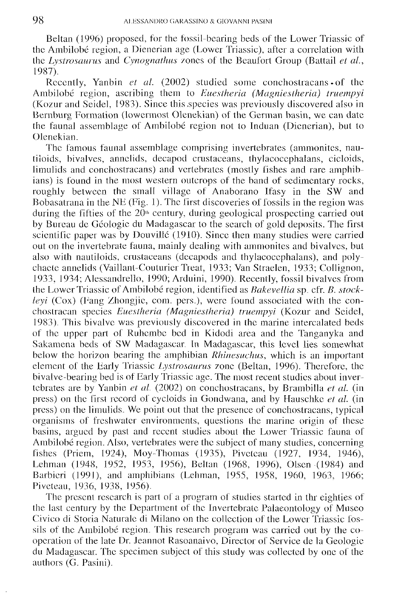Beltan (1996) proposed, for the fossil-bearing beds of the Lower Triassic of the Ambilobe region, a Dienerian age (Lower Triassic), after a correlation with the *Lystrosaurus* and *Cynognathus* zones of the Beaufort Group (Battail *et al.,*  1987)..

Recently, Yanbin *et al.* (2002) studied some conchostracans • of the Ambilobe region, ascribing them to *Euestheria (Magniestheria) iruempyi*  (Kozur and Seidel, 1983). Since this .species was previously discovered also in Bernburg Formation (lowermost Olenekian) of the German basin, we can date the faunal assemblage of Ambilobe region not to Induan (Dienerian), but to Olenekian.

The famous faunal assemblage comprising invertebrates (ammonites, nautiloids, bivalves, annelids, decapod crustaceans, thylacocephalans, cicloids, limulids and conchostracans) and vertebrates (mostly fishes and rare amphibians) is found in the most western outcrops of the band of sedimentary rocks, roughly between the small village of Anaborano Ifasy in the SW and Bobasatrana in the NE (Fig. 1). The first discoveries of fossils in the region was during the fifties of the  $20<sup>th</sup>$  century, during geological prospecting carried out by Bureau de Geologic du Madagascar to the search of gold deposits. The first scientific paper was by Douvillé (1910). Since then many studies were carried out on the invertebrate fauna, mainly dealing with ammonites and bivalves, but also with nautiloids, crustaceans (decapods and thylacocephalans), and polychaete annelids (Vaillant-Couturier Treat, 1933; Van Straelen, 1933; Collignon, 1933, 1934; Alessandrello, 1990; Arduini, 1990). Recently, fossil bivalves from the Lower Triassic of Ambilobe region, identified as *Bakevellia* sp. cfr. *B. stockleyi* (Cox) (Fang Zhongjie, com. pers.), were found associated with the conchoslracan species *Euestheria (Magniestheria) truempyi* (Kozur and Seidel, 1983). This bivalve was previously discovered in the marine intercalated beds of the upper part of Ruhembc bed in Kidodi area and the Tanganyka and Sakamena beds of SW Madagascar. In Madagascar, this level lies somewhat below the horizon bearing the amphibian *Rhinesuchus,* which is an important element of the Early Triassic *Lystrosaurus* zone (Beltan, 1996). Therefore, the bivalve-bearing bed is of Early Triassic age. The most recent studies about invertebrates are by Yanbin *et al.* (2002) on conchostracans, by Brambilla *et al.* (in press) on the first record of cycloids in Gondwana, and by Hauschkc *et al.* (in press) on the limulids. We point out that the presence of conchostracans, typical organisms of freshwater environments, questions the marine origin of these basins, argued by pasl and recent studies about the Lower Triassic fauna of Ambilobe region. Also, vertebrates were the subject of many studies, concerning fishes (Priem, 1924), Moy-Thomas (1935), Pivclcau (1927, 1934, 1946), Lehman (1948, 1952, 1953, 1956), Beltan (1968, 1996), Olsen (1984) and Barbieri (1991), and amphibians (Lehman, 1955, 1958, 1960, 1963, 1966; Piveteau, 1936, 1938, 1956).

The present research is part of a program of studies started in thr eighties of the last century by the Department of the Invertebrate Palaeontology of Museo Civico di Storia Naturale di Milano on the collection of the Lower Triassic fossils of the Ambilobé region. This research program was carried out by the cooperation of the late Dr. Jeannot Rasoanaivo, Director of Service de la Geologic du Madagascar. The specimen subject of this study was collected by one of the authors (G. Pasini).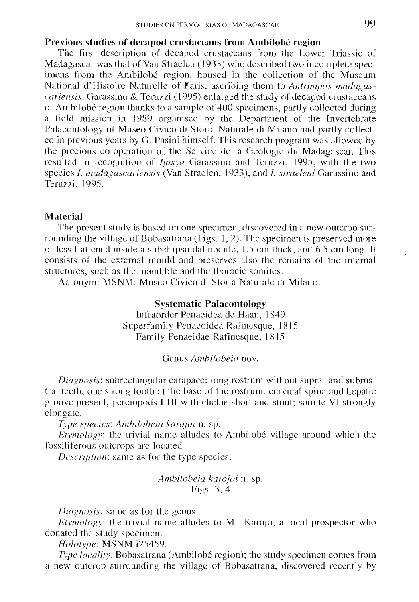## **Previous studies of decapod crustaceans from Ambilobe region**

The first description of decapod crustaceans from the Lower Triassic of Madagascar was that of Van Straelen (1933) who described two incomplete specimens from the Ambilobé region, housed in the collection of the Museum National d'Histoire Nature!le of Paris, ascribing them to *Anlrimpos madagascariensis.* Garassino & Teruzzi (1995) enlarged the study of decapod crustaceans of Ambilobe region thanks to a sample of  $400$  specimens, partly collected during a field mission in 1989 organised by the Department of the Invertebrate Palaeontology of Museo Civico di Storia Naturale di Milano and partly collected in previous years by G. Pasini himself. This research program was allowed by the precious co-operation of the Service de la Geologie du Madagascar. This resulted in recognition of *Ijasya* Garassino and Teruzzi, 1995, with the two species /. *madagascariensis* (Van Straelen, 1933), and /. *straeleni* Garassino and Teruzzi, 1995.

### **Material**

The present study is based on one specimen, discovered in a new outcrop surrounding the village of Bobasatrana (Figs. 1, 2). The specimen is preserved more or less flattened inside a subellipsoidal nodule, 1.5 cm thick, and 6.5 cm long. It consists of the external mould and preserves also the remains of the internal structures, such as the mandible and the thoracic somites.

Acronym: MSNM: Museo Civico di Storia Naturale di Milano.

## **Systematic Palaeontology**

Infraorder Penaeidea de Haan, 1 849 Superfamily Penaeoidea Rafinesque, 1815 Family Penaeidae Rafinesque, 1815

#### Genus *Ambilobeia* nov.

*Diagnosis:* subrectangular carapace; long rostrum without supra- and subrostral teeth; one strong tooth at the base of the rostrum; cervical spine and hepatic groove present; perciopods I 111 with chelae short and stout; somite VI strongly elongate.

*Type species: AmbUobeia karojoi* n. sp.

*Etymology:* the trivial name alludes to Ambilobé village around which the fossiliferous outcrops arc located.

*Description:* same as for the type species.

## *AmbUobeia karojoi* n. sp. Figs. 3, 4

*Diagnosis:* same as for the genus.

*Etymology:* the trivial name alludes to Mr. Karojo, a local prospector who donated the study specimen.

*Holotype:* MSNM i25459.

*Type locality:* Bobasatrana (Ambilobé region); the study specimen comes from a new outcrop surrounding the village of Bobasatrana, discovered recently by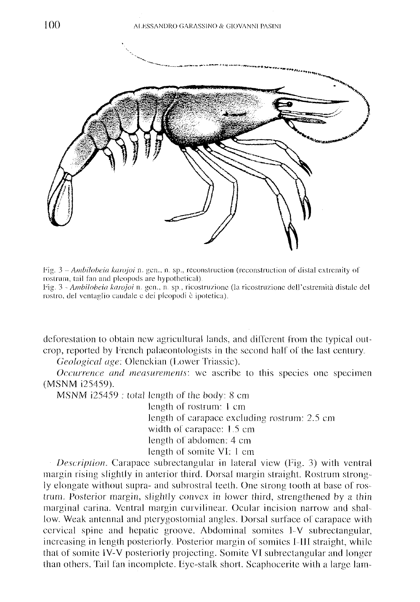

Fig. 3 – *Ambilobeia karojoi* n. gen., n. sp., reconstruction (reconstruction of distal extremity of rostrum, tail fan and plcopods are hypothetical)

Fig. 3 - *Ambilobeia karojoi* n. gen., n. sp., ricostruzione (la ricostruzione dell'estremità distale del rostro, del ventaglio caudale c dei plcopodi e ipotetica).

deforestation lo obtain new agricultural lands, and different from the typical outcrop, reported by French palaeontologists in the second half of the last century.

*Geological age:* Olenckian (Lower Triassic).

*Occurrence and measurements:* we ascribe to this species one specimen (MSNM 125459).

MSNM i25459 : total length of the body: 8 cm

length of rostrum: 1 cm length of carapace excluding rostrum: 2.5 cm width of carapace: 1.5 cm length of abdomen: 4 cm length of somite VI: 1 cm

*Description.* Carapace subrectangular in lateral view (Fig. 3) with ventral margin rising slightly in anterior third. Dorsal margin straight. Rostrum strongly elongate without supra- and subrostral teeth. One strong tooth at base of rostrum. Posterior margin, slightly convex in lower third, strengthened by a thin marginal carina. Ventral margin curvilinear. Ocular incision narrow and shallow. Weak antennal and ptcrygostomial angles. Dorsal surface of carapace with cervical spine and hepatic groove. Abdominal somites 1-V subrectangular, increasing in length posteriorly. Posterior margin of somites I-III straight, while that of somite IV-V posteriorly projecting. Somite VI subrectangular and longer than others. Tail fan incomplete. Fyc-stalk short. Scaphocerite with a large lam-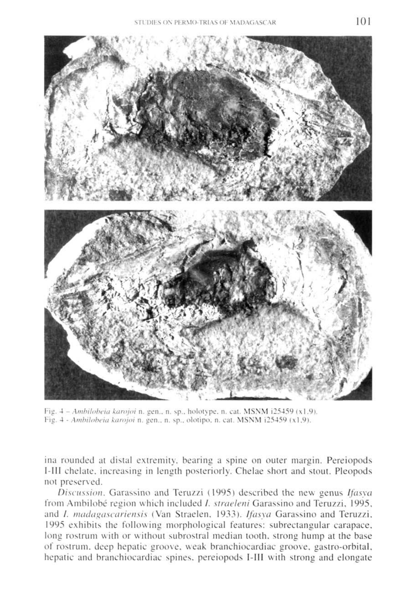

Fig. 4 - *Ambilobeia karojoi* n. gen., n. sp.. holotype. n. cat. MSNM i25459 (xl.9). lig. 4 - *Ambilobeia karojoi* n. gen., n. sp.. olotipo. n. cat. MSNM i25459 (xl.9).

ina rounded at distal extremity, bearing a spine on outer margin. Pereiopods I-III chelate, increasing in length posteriorly. Chelae short and stout. Pleopods not preserved.

*Discussion.* Garassino and Teruzzi (1995) described the new genus *Ifasya*  from Ambilobe region which included /. *straeleni* Garassino and Teruzzi, 1995, and *I. madagascariensis* (Van Straelen, 1933). *Ifasya* Garassino and Teruzzi, 1995 exhibits the following morphological features: subrectangular carapace, long rostrum with or without subrostral median tooth, strong hump at the base of rostrum, deep hepatic groove, weak branchiocardiac groove, gastro-orbital. hepatic and branchiocardiac spines, pereiopods I-III with strong and elongate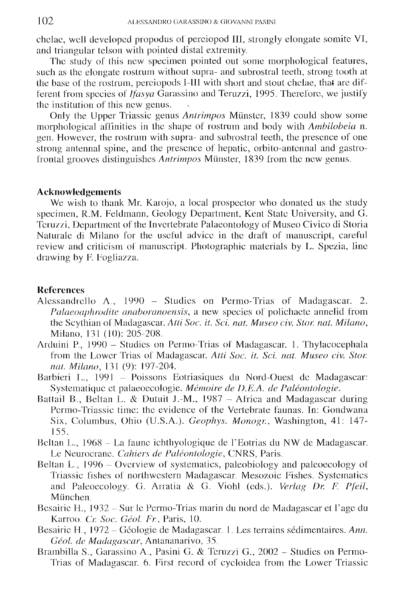chelae, well developed propodus of perciopod III, strongly elongate somite VI, and triangular telson with pointed distal extremity..

The study of this new specimen pointed out some morphological features, such as the elongate rostrum without supra- and subrostral teeth, strong tooth at the base of the rostrum, perciopods I-1II with short and stout chelae, that are different from species of *Ifasya* Garassino and Teruzzi, 1995. Therefore, we justify the institution of this new genus.

Only the Upper Triassic genus *Antrimpos* Miinstcr, 1839 could show some morphological affinities in the shape of rostrum and body with *Ambilobeia* n. gen. However, the rostrum with supra- and subrostral teeth, the presence of one strong antennal spine, and the presence of hepatic, orbito-antennal and gastrofrontal grooves distinguishes *Antrimpos* Münster, 1839 from the new genus.

## **Acknowledgements**

We wish to thank Mr. Karojo, a local prospector who donated us the study specimen, R.M. Feldmann, Geology Department, Kent State University, and G. Teruzzi, Department of the Invertebrate Palaeontology of Museo Civico di Storia Naturale di Milano for the useful advice in the draft of manuscript, careful review and criticism of manuscript. Photographic materials by L. Spezia, line drawing by F. Fogliazza.

## **References**

- Alessandrello A., 1990 Studies on Permo-Trias of Madagascar. 2. *Palaeoaphrodite anaboranoensis,* a new species of polichactc annelid from the Scythian of Madagascar. *AttiSoc. it. Sci. nat. Museo civ. Sior. nat. Milano,*  Milano, 131 (10): 205-208.
- Arduini P., 1990 Studies on Permo-Trias of Madagascar. 1. Thylacocephala from the Lower Trias of Madagascar. *Atti Soc. it. Sci. nat. Museo civ. Star. nat. Milano,* 131 (9): 197-204.
- Barbieri L., 1991 Poissons Eotriasiques du Nord-Ouest de Madagascar: Systematiquc et palaeoecologie. *Memoire de D.E.A. de Paleontologic.*
- Battail B., Beltan L. & Dutuit J.-M., 1987 Africa and Madagascar during Pcrmo-Triassic time: the evidence of the Vertebrate faunas. In: Gondwana Six, Columbus, Ohio (U.S.A.). *Geophys. Monogr.,* Washington, 41: 147- 155.
- Beltan L., 1968 La faune ichthyologique de l'Eotrias du NW de Madagascar. Le Neurocrane. Cahiers de Paléontologie, CNRS, Paris.
- Beltan L., 1996 Overview of systematics, paleobiology and paleoecology of Triassic fishes of northwestern Madagascar. Mesozoic Fishes. Systematics and Paleoecology. G. Arratia & G. Viohi (cds.). *Veriag Dr. F. Pfeil,*  Miinchen.
- Besairie H., 1932 Sur le Permo-Trias marin du nord de Madagascar et l'age du Karroo. *Cr. Soc. Geol. Fr.,* Paris, 10.
- Besairie H., 1972 Géologie de Madagascar. 1. Les terrains sédimentaires. Ann. Géol. de Madagascar, Antananarivo, 35.
- Brambilla S., Garassino A.., Pasini G. & Teruzzi G., 2002 Studies on Permo-Trias of Madagascar. 6. First record of cycloidea from the Lower Triassic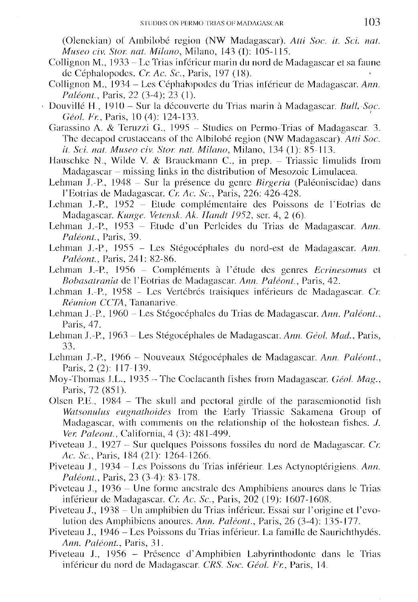(Olenckian) of Ambilobe region (NW Madagascar). *Alii Soc. it Sci. nat. Museo civ. Slor nat Milano,* Milano, 143 (1): 105-115.

- Collignon M., 1933 Lc Trias inferieur marin du nord de Madagascar et sa faune dc Cephalopodes. *Cr Ac. Sc,* Paris, 197 (18).
- Collignon M., 1934 Les Cephalopodcs du Trias inlerieur de Madagascar. *Ann. Paléont.*, Paris, 22 (3-4); 23 (1).
- Douville H,, 1910 Sur la dccouvcrle du Trias marin a Madagascar. *Bull, Soc. Geol. Ft:,* Paris, 10 (4): 124-133.
	- Garassino A. & Teruzzi G., 1995 Studies on Permo-Trias of Madagascar, 3. The decapod crustaceans of the Albilobe region (NW Madagascar). *Atti Soc. it. Sci. nat. Museo civ. Stor. nat. Milano,* Milano, 134 (1): 85-113.
	- Hauschke N., Wilde V. & Brauckmann C., in prep. Triassic limulids from Madagascar – missing links in the distribution of Mesozoic Limulacea.
	- Lehman J.-P., 1948 Sur la presence du genre *Birgeria* (Paleoniscidac) dans l'Eolrias de Madagascar. *Cr. Ac. Sc,* Paris, 226: 426-428.
	- Lehman J.-P., 1952 Etude complémentaire des Poissons de l'Eotrias de Madagascar. *Kunge. Vetensk. Ak. Handt 1952,* scr. 4, 2 (6),
	- Lehman J.-P., 1953 Etude d'un Pcrlcides du Trias de Madagascar. *Ann. Paleont,* Paris, 39.
	- Lehman J.-P., 1955 Les Stégocéphales du nord-est de Madagascar. Ann. *Paleont,* Paris, 241: 82-86.
	- Lehman J.-P., 1956 Compléments à l'étude des genres Ecrinesomus et *Bobasalrania* de l'Eotrias de Madagascar. *Ann. Paleont,* Paris, 42.
	- Lehman J.-P., 1958 Les Vertébrés traisiques inférieurs de Madagascar. Cr. *Reunion CCTA,* Tananarive.
	- Lehman J.-P., 1960 Les Stegocephales du Trias de Madagascar. *Ann. Paleont.,*  Paris, 47.
	- Lehman J.-P., 1963 Les Stegocephales de Madagascar. *Ann. Geol. Mad.,* Paris, 33.
	- Lehman J.-P., 1966 Nouveaux Stegocephales de Madagascar. *Ann. Paleont.,*  Paris, 2(2): 117-139.
	- Moy-Thomas J.L., 1935 The Coelacanth fishes from Madagascar. *Géol. Mag.*, Paris, 72 (851).
	- Olsen P.E.,  $1984$  The skull and pectoral girdle of the parasemionotid fish *Watsonulus eugnalhoides* from the Early Triassic Sakamena Group of Madagascar, with comments on the relationship of the holostean fishes.  $J$ . *Ver. Paleont,* California, 4 (3): 481-499.
	- Piveteau J,, 1927 Sur quelques Poissons fossiles du nord de Madagascar. *Cr. Ac. Sc,* Paris, 184 (21): 1264-1266,
	- Piveteau J., 1934 Les Poissons du Trias inférieur. Les Actynoptérigiens. Ann. *Paleont,* Paris, 23 (3-4): 83-178.
	- Piveleau J., 1936 Une forme ancstralc des Amphibiens anoures dans lc Trias inférieur de Madagascar. Cr. Ac. Sc., Paris, 202 (19): 1607-1608.
	- Piveteau J., 1938 Un amphibien du Trias inférieur. Essai sur l'origine et l'evolution des Amphibiens anoures. *Ann. Paleont,* Paris, 26 (3-4): 135-177.
	- Piveteau J., 1946 Les Poissons du Trias inférieur. La famille de Saurichthydés. *Ann. Paleont,* Paris, 31.
	- Piveteau J., 1956 Présence d'Amphibien Labyrinthodonte dans le Trias inferieur du nord de Madagascar. *CRS Soc. Geol. Fr,* Paris, 14.